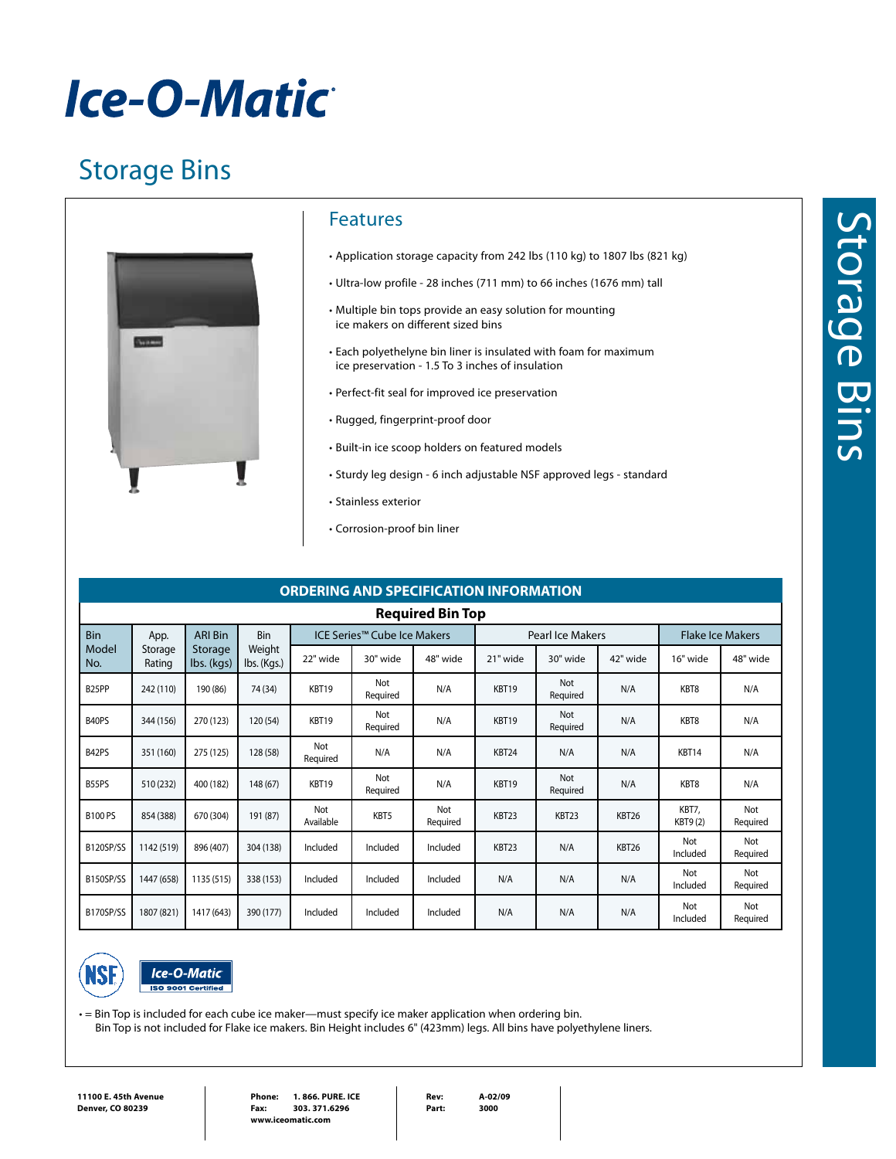# *Ice-O-Matic*

### Storage Bins



### Features

- • Application storage capacity from 242 lbs (110 kg) to 1807 lbs (821 kg)
- • Ultra-low profile 28 inches (711 mm) to 66 inches (1676 mm) tall
- • Multiple bin tops provide an easy solution for mounting ice makers on different sized bins
- Each polyethelyne bin liner is insulated with foam for maximum ice preservation - 1.5 To 3 inches of insulation
- • Perfect-fit seal for improved ice preservation
- • Rugged, fingerprint-proof door
- • Built-in ice scoop holders on featured models
- Sturdy leg design 6 inch adjustable NSF approved legs standard
- • Stainless exterior
- • Corrosion-proof bin liner

#### **ORDERING AND SPECIFICATION INFORMATION Required Bin Top** Bin Model No. App. Storage Rating ARI Bin Storage lbs. (kgs) Bin Weight lbs. (Kgs.) ICE Series™ Cube Ice Makers Pearl Ice Makers Flake Ice Makers 22" wide | 30" wide | 48" wide | 21" wide | 30" wide | 42" wide | 16" wide | 48" wide B25PP 242 (110) 190 (86) 74 (34) KBT19 Not Required N/A KBT19 Not Not N/A KBT8 N/A<br>Required N/A KBT8 N/A B40PS 344 (156) 270 (123) 120 (54) KBT19 Not Required N/A KBT19 Not Not N/A KBT8 N/A<br>Required N/A KBT8 N/A B42PS 351 (160) 275 (125) 128 (58) Not Required N/A N/A KBT24 N/A N/A KBT14 N/A B55PS 510 (232) 400 (182) 148 (67) KBT19 Not Not | N/A | KBT19 | <sup>Not</sup><br>Required | N/A | KBT19 | Require Not N/A KBT8 N/A B100 PS 854 (388) 670 (304) 191 (87) Not Not <br>Available KBT5 Required Not | KBT23 | KBT23 | KBT26 | KBT7,<br>Required | KBT23 | KBT26 | KBT9 (2 KBT9 (2) Not Required  $B120$ SP/SS 1142 (519) 896 (407) 304 (138) Included Included Included KBT23 N/A KBT26 Notwith Included Not Required B150SP/SS 1447 (658) 1135 (515) 338 (153) Included Included Included N/A N/A N/A N/A Notive that Included Not Required B170SP/SS 1807 (821) 1417 (643) 390 (177) Included Included Included N/A N/A N/A N/A Notive that Included Not Required





• = Bin Top is included for each cube ice maker—must specify ice maker application when ordering bin.

Bin Top is not included for Flake ice makers. Bin Height includes 6" (423mm) legs. All bins have polyethylene liners.

**Rev: A-02/09 Part: 3000**